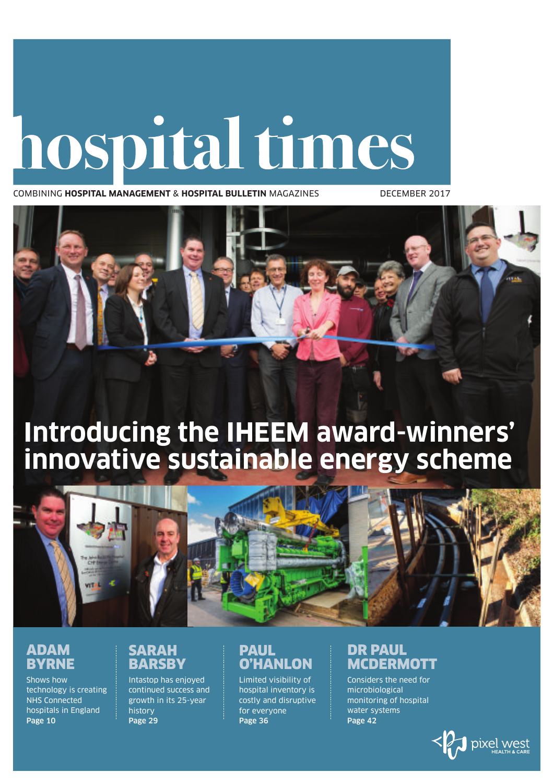# hospital times

COMBINING **HOSPITAL MANAGEMENT** & **HOSPITAL BULLETIN** MAGAZINES DECEMBER 2017



# **Introducing the IHEEM award-winners' innovative sustainable energy scheme**



## **ADAM BYRNE**

Shows how technology is creating NHS Connected hospitals in England **Page 10**

#### **SARAH BARSBY**

Intastop has enjoyed continued success and growth in its 25-year history **Page 29**

## **PAUL O'HANLON**

Limited visibility of hospital inventory is costly and disruptive for everyone **Page 36**

## **DR PAUL MCDERMOTT**

Considers the need for microbiological monitoring of hospital water systems **Page 42**

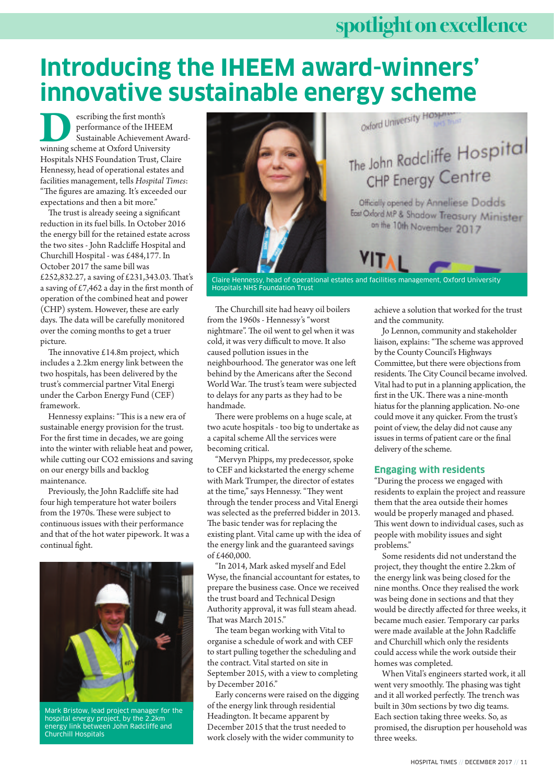# **spotlightonexcellence**

# **Introducing the IHEEM award-winners' innovative sustainable energy scheme**

escribing the first month's performance of the IHEEM Sustainable Achievement Award-**DESPENSE SERVING SERVING SERVING SCHOOLS SUSSEM SURFACE SURFACE SURFACE SURFACE SURFACE SURFACE SURFACE SURFACE SURFACE SURFACE SURFACE SURFACE SURFACE SURFACE SURFACE SURFACE SURFACE SURFACE SURFACE SURFACE SURFACE SURFA** Hospitals NHS Foundation Trust, Claire Hennessy, head of operational estates and facilities management, tells *Hospital Times*: "The figures are amazing. It's exceeded our expectations and then a bit more."

The trust is already seeing a significant reduction in its fuel bills. In October 2016 the energy bill for the retained estate across the two sites - John Radcliffe Hospital and Churchill Hospital - was £484,177. In October 2017 the same bill was £252,832.27, a saving of £231,343.03. That's a saving of £7,462 a day in the first month of operation of the combined heat and power (CHP) system. However, these are early days. The data will be carefully monitored over the coming months to get a truer picture.

The innovative £14.8m project, which includes a 2.2km energy link between the two hospitals, has been delivered by the trust's commercial partner Vital Energi under the Carbon Energy Fund (CEF) framework.

Hennessy explains: "This is a new era of sustainable energy provision for the trust. For the first time in decades, we are going into the winter with reliable heat and power, while cutting our CO2 emissions and saving on our energy bills and backlog maintenance.

Previously, the John Radcliffe site had four high temperature hot water boilers from the 1970s. These were subject to continuous issues with their performance and that of the hot water pipework. It was a continual fight.



Mark Bristow, lead project manager for the hospital energy project, by the 2.2km energy link between John Radcliffe and Churchill Hospitals



Claire Hennessy, head of operational estates and facilities management, Oxford University Hospitals NHS Foundation Trust

The Churchill site had heavy oil boilers from the 1960s - Hennessy's "worst nightmare". The oil went to gel when it was cold, it was very difficult to move. It also caused pollution issues in the neighbourhood. The generator was one left behind by the Americans after the Second World War. The trust's team were subjected to delays for any parts as they had to be handmade.

There were problems on a huge scale, at two acute hospitals - too big to undertake as a capital scheme All the services were becoming critical.

"Mervyn Phipps, my predecessor, spoke to CEF and kickstarted the energy scheme with Mark Trumper, the director of estates at the time," says Hennessy. "They went through the tender process and Vital Energi was selected as the preferred bidder in 2013. The basic tender was for replacing the existing plant. Vital came up with the idea of the energy link and the guaranteed savings of £460,000.

"In 2014, Mark asked myself and Edel Wyse, the financial accountant for estates, to prepare the business case. Once we received the trust board and Technical Design Authority approval, it was full steam ahead. That was March 2015."

The team began working with Vital to organise a schedule of work and with CEF to start pulling together the scheduling and the contract. Vital started on site in September 2015, with a view to completing by December 2016."

Early concerns were raised on the digging of the energy link through residential Headington. It became apparent by December 2015 that the trust needed to work closely with the wider community to

achieve a solution that worked for the trust and the community.

Jo Lennon, community and stakeholder liaison, explains:"The scheme was approved by the County Council's Highways Committee, but there were objections from residents. The City Council became involved. Vital had to put in a planning application, the first in the UK. There was a nine-month hiatus for the planning application. No-one could move it any quicker. From the trust's point of view, the delay did not cause any issues in terms of patient care or the final delivery of the scheme.

#### **Engaging with residents**

"During the process we engaged with residents to explain the project and reassure them that the area outside their homes would be properly managed and phased. This went down to individual cases, such as people with mobility issues and sight problems."

Some residents did not understand the project, they thought the entire 2.2km of the energy link was being closed for the nine months. Once they realised the work was being done in sections and that they would be directly affected for three weeks, it became much easier. Temporary car parks were made available at the John Radcliffe and Churchill which only the residents could access while the work outside their homes was completed.

When Vital's engineers started work, it all went very smoothly. The phasing was tight and it all worked perfectly. The trench was built in 30m sections by two dig teams. Each section taking three weeks. So, as promised, the disruption per household was three weeks.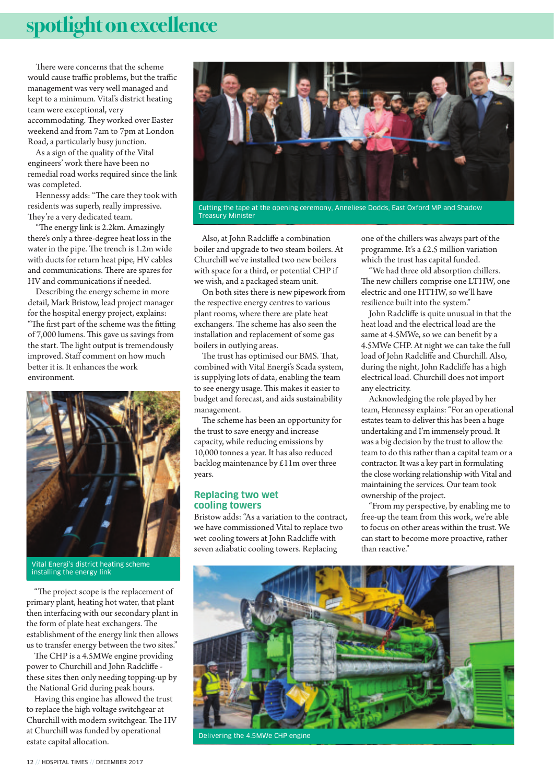## spotlight on excellence

There were concerns that the scheme would cause traffic problems, but the traffic management was very well managed and kept to a minimum. Vital's district heating team were exceptional, very accommodating. They worked over Easter weekend and from 7am to 7pm at London Road, a particularly busy junction.

As a sign of the quality of the Vital engineers' work there have been no remedial road works required since the link was completed.

Hennessy adds: "The care they took with residents was superb, really impressive. They're a very dedicated team.

"The energy link is 2.2km. Amazingly there's only a three-degree heat loss in the water in the pipe. The trench is 1.2m wide with ducts for return heat pipe, HV cables and communications. There are spares for HV and communications if needed.

Describing the energy scheme in more detail, Mark Bristow, lead project manager for the hospital energy project, explains: "The first part of the scheme was the fitting of 7,000 lumens. This gave us savings from the start. The light output is tremendously improved. Staff comment on how much better it is. It enhances the work environment.



Vital Energi's district heating scheme installing the energy link

"The project scope is the replacement of primary plant, heating hot water, that plant then interfacing with our secondary plant in the form of plate heat exchangers. The establishment of the energy link then allows us to transfer energy between the two sites."

The CHP is a 4.5MWe engine providing power to Churchill and John Radcliffe these sites then only needing topping-up by the National Grid during peak hours.

Having this engine has allowed the trust to replace the high voltage switchgear at Churchill with modern switchgear. The HV at Churchill was funded by operational estate capital allocation.



Cutting the tape at the opening ceremony, Anneliese Dodds, East Oxford MP and Shadow Treasury Minister

Also, at John Radcliffe a combination boiler and upgrade to two steam boilers. At Churchill we've installed two new boilers with space for a third, or potential CHP if we wish, and a packaged steam unit.

On both sites there is new pipework from the respective energy centres to various plant rooms, where there are plate heat exchangers. The scheme has also seen the installation and replacement of some gas boilers in outlying areas.

The trust has optimised our BMS. That, combined with Vital Energi's Scada system, is supplying lots of data, enabling the team to see energy usage. This makes it easier to budget and forecast, and aids sustainability management.

The scheme has been an opportunity for the trust to save energy and increase capacity, while reducing emissions by 10,000 tonnes a year. It has also reduced backlog maintenance by £11m over three years.

#### **Replacing two wet cooling towers**

Bristow adds: "As a variation to the contract, we have commissioned Vital to replace two wet cooling towers at John Radcliffe with seven adiabatic cooling towers. Replacing

one of the chillers was always part of the programme. It's a £2.5 million variation which the trust has capital funded.

"We had three old absorption chillers. The new chillers comprise one LTHW, one electric and one HTHW, so we'll have resilience built into the system."

John Radcliffe is quite unusual in that the heat load and the electrical load are the same at 4.5MWe, so we can benefit by a 4.5MWe CHP. At night we can take the full load of John Radcliffe and Churchill. Also, during the night, John Radcliffe has a high electrical load. Churchill does not import any electricity.

Acknowledging the role played by her team, Hennessy explains:"For an operational estates team to deliver this has been a huge undertaking and I'm immensely proud. It was a big decision by the trust to allow the team to do this rather than a capital team or a contractor. It was a key part in formulating the close working relationship with Vital and maintaining the services. Our team took ownership of the project.

"From my perspective, by enabling me to free-up the team from this work, we're able to focus on other areas within the trust. We can start to become more proactive, rather than reactive."



Delivering the 4.5MWe CHP engine